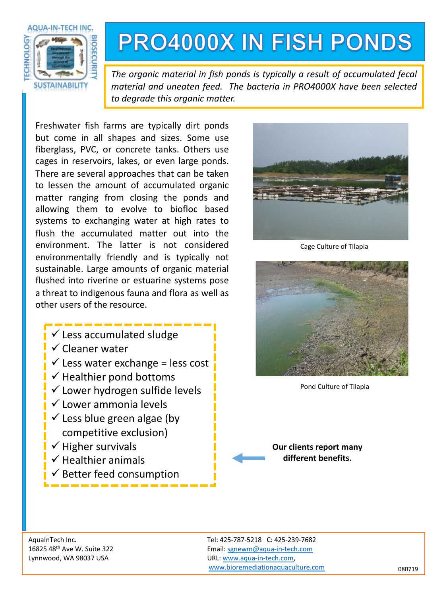

## **PRO4000X IN FISH PONDS**

*The organic material in fish ponds is typically a result of accumulated fecal material and uneaten feed. The bacteria in PRO4000X have been selected to degrade this organic matter.*

Freshwater fish farms are typically dirt ponds but come in all shapes and sizes. Some use fiberglass, PVC, or concrete tanks. Others use cages in reservoirs, lakes, or even large ponds. There are several approaches that can be taken to lessen the amount of accumulated organic matter ranging from closing the ponds and allowing them to evolve to biofloc based systems to exchanging water at high rates to flush the accumulated matter out into the environment. The latter is not considered environmentally friendly and is typically not sustainable. Large amounts of organic material flushed into riverine or estuarine systems pose a threat to indigenous fauna and flora as well as other users of the resource.

- $\checkmark$  Less accumulated sludge
- $\checkmark$  Cleaner water
- $\checkmark$  Less water exchange = less cost
- $\checkmark$  Healthier pond bottoms
- $\checkmark$  Lower hydrogen sulfide levels
- $\checkmark$  Lower ammonia levels
- $\checkmark$  Less blue green algae (by competitive exclusion)
- $\checkmark$  Higher survivals
- $\checkmark$  Healthier animals
- $\checkmark$  Better feed consumption



Cage Culture of Tilapia



Pond Culture of Tilapia

**Our clients report many different benefits.** 

AquaInTech Inc. Tel: 425-787-5218 C: 425-239-7682 16825 48th Ave W. Suite 322 Email: [sgnewm@aqua-in-tech.com](mailto:sgnewm@aqua-in-tech.com) Lynnwood, WA 98037 USA URL: [www.aqua-in-tech.com,](http://www.aqua-in-tech.com/) [www.bioremediationaquaculture.com](http://www.bioremediationaquaculture.com/) 080719